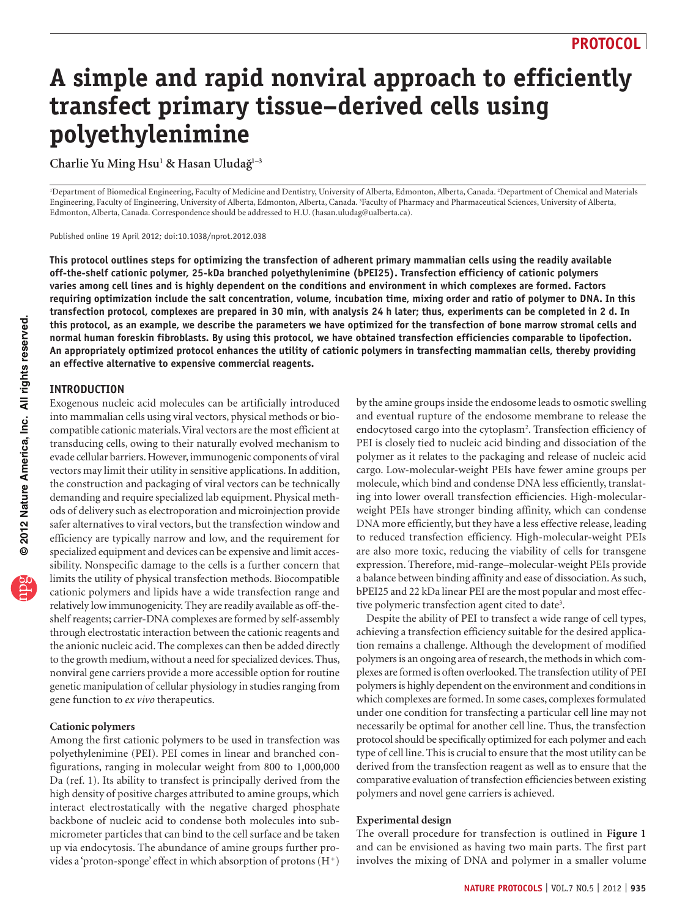# **A simple and rapid nonviral approach to efficiently transfect primary tissue–derived cells using polyethylenimine**

**Charlie Yu Ming Hsu1 & Hasan Uludag˘1–3**

1 Department of Biomedical Engineering, Faculty of Medicine and Dentistry, University of Alberta, Edmonton, Alberta, Canada. 2 Department of Chemical and Materials Engineering, Faculty of Engineering, University of Alberta, Edmonton, Alberta, Canada. <sup>3</sup>Faculty of Pharmacy and Pharmaceutical Sciences, University of Alberta, Edmonton, Alberta, Canada. Correspondence should be addressed to H.U. (hasan.uludag@ualberta.ca).

Published online 19 April 2012; doi:10.1038/nprot.2012.038

**This protocol outlines steps for optimizing the transfection of adherent primary mammalian cells using the readily available off-the-shelf cationic polymer, 25-kDa branched polyethylenimine (bPEI25). Transfection efficiency of cationic polymers varies among cell lines and is highly dependent on the conditions and environment in which complexes are formed. Factors requiring optimization include the salt concentration, volume, incubation time, mixing order and ratio of polymer to DNA. In this transfection protocol, complexes are prepared in 30 min, with analysis 24 h later; thus, experiments can be completed in 2 d. In this protocol, as an example, we describe the parameters we have optimized for the transfection of bone marrow stromal cells and normal human foreskin fibroblasts. By using this protocol, we have obtained transfection efficiencies comparable to lipofection. An appropriately optimized protocol enhances the utility of cationic polymers in transfecting mammalian cells, thereby providing an effective alternative to expensive commercial reagents.**

### **INTRODUCTION**

Exogenous nucleic acid molecules can be artificially introduced into mammalian cells using viral vectors, physical methods or biocompatible cationic materials. Viral vectors are the most efficient at transducing cells, owing to their naturally evolved mechanism to evade cellular barriers. However, immunogenic components of viral vectors may limit their utility in sensitive applications. In addition, the construction and packaging of viral vectors can be technically demanding and require specialized lab equipment. Physical methods of delivery such as electroporation and microinjection provide safer alternatives to viral vectors, but the transfection window and efficiency are typically narrow and low, and the requirement for specialized equipment and devices can be expensive and limit accessibility. Nonspecific damage to the cells is a further concern that limits the utility of physical transfection methods. Biocompatible cationic polymers and lipids have a wide transfection range and relatively low immunogenicity. They are readily available as off-theshelf reagents; carrier-DNA complexes are formed by self-assembly through electrostatic interaction between the cationic reagents and the anionic nucleic acid. The complexes can then be added directly to the growth medium, without a need for specialized devices. Thus, nonviral gene carriers provide a more accessible option for routine genetic manipulation of cellular physiology in studies ranging from gene function to *ex vivo* therapeutics.

### **Cationic polymers**

Among the first cationic polymers to be used in transfection was polyethylenimine (PEI). PEI comes in linear and branched configurations, ranging in molecular weight from 800 to 1,000,000 Da (ref. 1). Its ability to transfect is principally derived from the high density of positive charges attributed to amine groups, which interact electrostatically with the negative charged phosphate backbone of nucleic acid to condense both molecules into submicrometer particles that can bind to the cell surface and be taken up via endocytosis. The abundance of amine groups further provides a 'proton-sponge' effect in which absorption of protons  $(H^+)$  by the amine groups inside the endosome leads to osmotic swelling and eventual rupture of the endosome membrane to release the endocytosed cargo into the cytoplasm<sup>2</sup>. Transfection efficiency of PEI is closely tied to nucleic acid binding and dissociation of the polymer as it relates to the packaging and release of nucleic acid cargo. Low-molecular-weight PEIs have fewer amine groups per molecule, which bind and condense DNA less efficiently, translating into lower overall transfection efficiencies. High-molecularweight PEIs have stronger binding affinity, which can condense DNA more efficiently, but they have a less effective release, leading to reduced transfection efficiency. High-molecular-weight PEIs are also more toxic, reducing the viability of cells for transgene expression. Therefore, mid-range–molecular-weight PEIs provide a balance between binding affinity and ease of dissociation. As such, bPEI25 and 22 kDa linear PEI are the most popular and most effective polymeric transfection agent cited to date<sup>3</sup>.

Despite the ability of PEI to transfect a wide range of cell types, achieving a transfection efficiency suitable for the desired application remains a challenge. Although the development of modified polymers is an ongoing area of research, the methods in which complexes are formed is often overlooked. The transfection utility of PEI polymers is highly dependent on the environment and conditions in which complexes are formed. In some cases, complexes formulated under one condition for transfecting a particular cell line may not necessarily be optimal for another cell line. Thus, the transfection protocol should be specifically optimized for each polymer and each type of cell line. This is crucial to ensure that the most utility can be derived from the transfection reagent as well as to ensure that the comparative evaluation of transfection efficiencies between existing polymers and novel gene carriers is achieved.

### **Experimental design**

The overall procedure for transfection is outlined in **[Figure 1](#page-1-0)** and can be envisioned as having two main parts. The first part involves the mixing of DNA and polymer in a smaller volume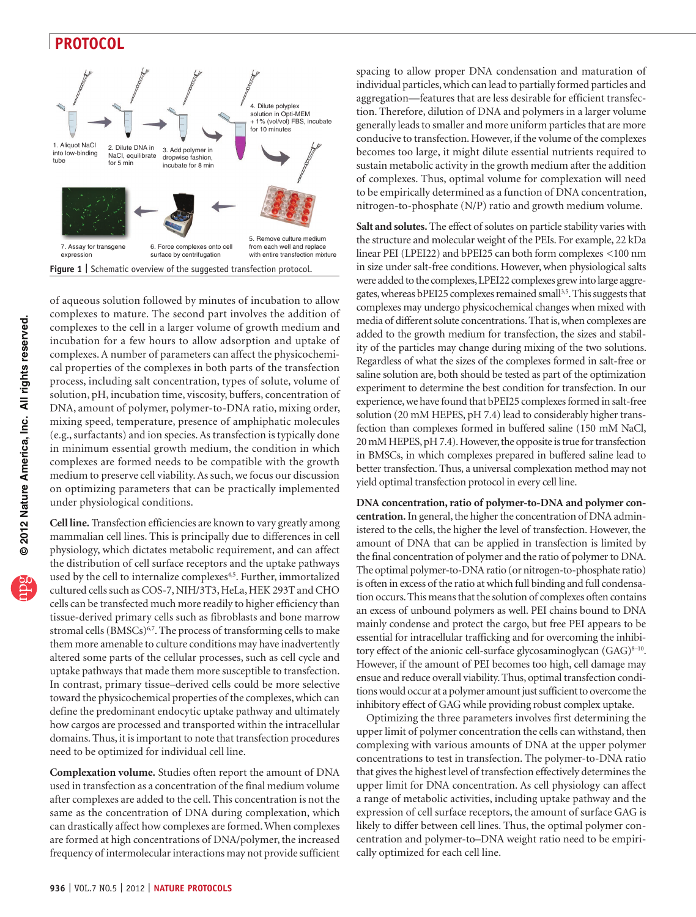

<span id="page-1-0"></span>of aqueous solution followed by minutes of incubation to allow complexes to mature. The second part involves the addition of complexes to the cell in a larger volume of growth medium and incubation for a few hours to allow adsorption and uptake of complexes. A number of parameters can affect the physicochemical properties of the complexes in both parts of the transfection process, including salt concentration, types of solute, volume of solution, pH, incubation time, viscosity, buffers, concentration of DNA, amount of polymer, polymer-to-DNA ratio, mixing order, mixing speed, temperature, presence of amphiphatic molecules (e.g., surfactants) and ion species. As transfection is typically done in minimum essential growth medium, the condition in which complexes are formed needs to be compatible with the growth medium to preserve cell viability. As such, we focus our discussion on optimizing parameters that can be practically implemented under physiological conditions.

**Cell line.** Transfection efficiencies are known to vary greatly among mammalian cell lines. This is principally due to differences in cell physiology, which dictates metabolic requirement, and can affect the distribution of cell surface receptors and the uptake pathways used by the cell to internalize complexes<sup>[4,5](#page-10-2)</sup>. Further, immortalized cultured cells such as COS-7, NIH/3T3, HeLa, HEK 293T and CHO cells can be transfected much more readily to higher efficiency than tissue-derived primary cells such as fibroblasts and bone marrow stromal cells (BMSCs)<sup>6,7</sup>. The process of transforming cells to make them more amenable to culture conditions may have inadvertently altered some parts of the cellular processes, such as cell cycle and uptake pathways that made them more susceptible to transfection. In contrast, primary tissue–derived cells could be more selective toward the physicochemical properties of the complexes, which can define the predominant endocytic uptake pathway and ultimately how cargos are processed and transported within the intracellular domains. Thus, it is important to note that transfection procedures need to be optimized for individual cell line.

**Complexation volume.** Studies often report the amount of DNA used in transfection as a concentration of the final medium volume after complexes are added to the cell. This concentration is not the same as the concentration of DNA during complexation, which can drastically affect how complexes are formed. When complexes are formed at high concentrations of DNA/polymer, the increased frequency of intermolecular interactions may not provide sufficient

spacing to allow proper DNA condensation and maturation of individual particles, which can lead to partially formed particles and aggregation—features that are less desirable for efficient transfection. Therefore, dilution of DNA and polymers in a larger volume generally leads to smaller and more uniform particles that are more conducive to transfection. However, if the volume of the complexes becomes too large, it might dilute essential nutrients required to sustain metabolic activity in the growth medium after the addition of complexes. Thus, optimal volume for complexation will need to be empirically determined as a function of DNA concentration, nitrogen-to-phosphate (N/P) ratio and growth medium volume.

**Salt and solutes.** The effect of solutes on particle stability varies with the structure and molecular weight of the PEIs. For example, 22 kDa linear PEI (LPEI22) and bPEI25 can both form complexes <100 nm in size under salt-free conditions. However, when physiological salts were added to the complexes, LPEI22 complexes grew into large aggre-gates, whereas bPEI25 complexes remained small<sup>[3,5](#page-10-1)</sup>. This suggests that complexes may undergo physicochemical changes when mixed with media of different solute concentrations. That is, when complexes are added to the growth medium for transfection, the sizes and stability of the particles may change during mixing of the two solutions. Regardless of what the sizes of the complexes formed in salt-free or saline solution are, both should be tested as part of the optimization experiment to determine the best condition for transfection. In our experience, we have found that bPEI25 complexes formed in salt-free solution (20 mM HEPES, pH 7.4) lead to considerably higher transfection than complexes formed in buffered saline (150 mM NaCl, 20 mM HEPES, pH 7.4). However, the opposite is true for transfection in BMSCs, in which complexes prepared in buffered saline lead to better transfection. Thus, a universal complexation method may not yield optimal transfection protocol in every cell line.

**DNA concentration, ratio of polymer-to-DNA and polymer concentration.** In general, the higher the concentration of DNA administered to the cells, the higher the level of transfection. However, the amount of DNA that can be applied in transfection is limited by the final concentration of polymer and the ratio of polymer to DNA. The optimal polymer-to-DNA ratio (or nitrogen-to-phosphate ratio) is often in excess of the ratio at which full binding and full condensation occurs. This means that the solution of complexes often contains an excess of unbound polymers as well. PEI chains bound to DNA mainly condense and protect the cargo, but free PEI appears to be essential for intracellular trafficking and for overcoming the inhibitory effect of the anionic cell-surface glycosaminoglycan (GAG)<sup>8-10</sup>. However, if the amount of PEI becomes too high, cell damage may ensue and reduce overall viability. Thus, optimal transfection conditions would occur at a polymer amount just sufficient to overcome the inhibitory effect of GAG while providing robust complex uptake.

Optimizing the three parameters involves first determining the upper limit of polymer concentration the cells can withstand, then complexing with various amounts of DNA at the upper polymer concentrations to test in transfection. The polymer-to-DNA ratio that gives the highest level of transfection effectively determines the upper limit for DNA concentration. As cell physiology can affect a range of metabolic activities, including uptake pathway and the expression of cell surface receptors, the amount of surface GAG is likely to differ between cell lines. Thus, the optimal polymer concentration and polymer-to–DNA weight ratio need to be empirically optimized for each cell line.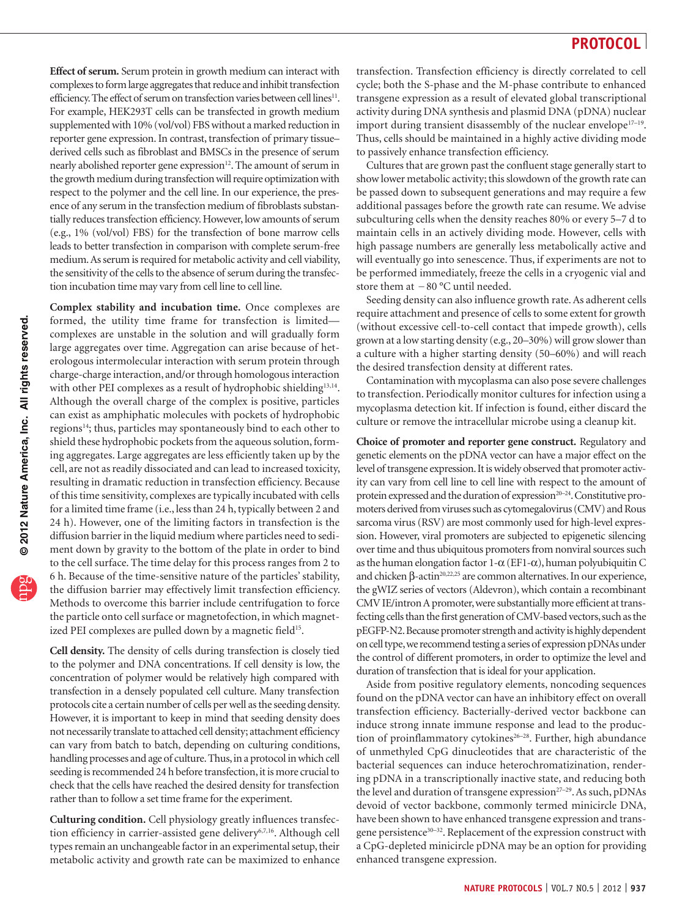**Effect of serum.** Serum protein in growth medium can interact with complexes to form large aggregates that reduce and inhibit transfection efficiency. The effect of serum on transfection varies between cell lines<sup>11</sup>. For example, HEK293T cells can be transfected in growth medium supplemented with 10% (vol/vol) FBS without a marked reduction in reporter gene expression. In contrast, transfection of primary tissue– derived cells such as fibroblast and BMSCs in the presence of serum nearly abolished reporter gene expression<sup>12</sup>. The amount of serum in the growth medium during transfection will require optimization with respect to the polymer and the cell line. In our experience, the presence of any serum in the transfection medium of fibroblasts substantially reduces transfection efficiency. However, low amounts of serum (e.g., 1% (vol/vol) FBS) for the transfection of bone marrow cells leads to better transfection in comparison with complete serum-free medium. As serum is required for metabolic activity and cell viability, the sensitivity of the cells to the absence of serum during the transfection incubation time may vary from cell line to cell line.

**Complex stability and incubation time.** Once complexes are formed, the utility time frame for transfection is limited complexes are unstable in the solution and will gradually form large aggregates over time. Aggregation can arise because of heterologous intermolecular interaction with serum protein through charge-charge interaction, and/or through homologous interaction with other PEI complexes as a result of hydrophobic shielding<sup>[13,14](#page-10-7)</sup>. Although the overall charge of the complex is positive, particles can exist as amphiphatic molecules with pockets of hydrophobic regions<sup>14</sup>; thus, particles may spontaneously bind to each other to shield these hydrophobic pockets from the aqueous solution, forming aggregates. Large aggregates are less efficiently taken up by the cell, are not as readily dissociated and can lead to increased toxicity, resulting in dramatic reduction in transfection efficiency. Because of this time sensitivity, complexes are typically incubated with cells for a limited time frame (i.e., less than 24 h, typically between 2 and 24 h). However, one of the limiting factors in transfection is the diffusion barrier in the liquid medium where particles need to sediment down by gravity to the bottom of the plate in order to bind to the cell surface. The time delay for this process ranges from 2 to 6 h. Because of the time-sensitive nature of the particles' stability, the diffusion barrier may effectively limit transfection efficiency. Methods to overcome this barrier include centrifugation to force the particle onto cell surface or magnetofection, in which magnet-ized PEI complexes are pulled down by a magnetic field<sup>[15](#page-10-9)</sup>.

**Cell density.** The density of cells during transfection is closely tied to the polymer and DNA concentrations. If cell density is low, the concentration of polymer would be relatively high compared with transfection in a densely populated cell culture. Many transfection protocols cite a certain number of cells per well as the seeding density. However, it is important to keep in mind that seeding density does not necessarily translate to attached cell density; attachment efficiency can vary from batch to batch, depending on culturing conditions, handling processes and age of culture. Thus, in a protocol in which cell seeding is recommended 24 h before transfection, it is more crucial to check that the cells have reached the desired density for transfection rather than to follow a set time frame for the experiment.

**Culturing condition.** Cell physiology greatly influences transfection efficiency in carrier-assisted gene delivery<sup>6,7,16</sup>. Although cell types remain an unchangeable factor in an experimental setup, their metabolic activity and growth rate can be maximized to enhance

transfection. Transfection efficiency is directly correlated to cell cycle; both the S-phase and the M-phase contribute to enhanced transgene expression as a result of elevated global transcriptional activity during DNA synthesis and plasmid DNA (pDNA) nuclear import during transient disassembly of the nuclear envelope $17-19$ . Thus, cells should be maintained in a highly active dividing mode to passively enhance transfection efficiency.

Cultures that are grown past the confluent stage generally start to show lower metabolic activity; this slowdown of the growth rate can be passed down to subsequent generations and may require a few additional passages before the growth rate can resume. We advise subculturing cells when the density reaches 80% or every 5–7 d to maintain cells in an actively dividing mode. However, cells with high passage numbers are generally less metabolically active and will eventually go into senescence. Thus, if experiments are not to be performed immediately, freeze the cells in a cryogenic vial and store them at −80 °C until needed.

Seeding density can also influence growth rate. As adherent cells require attachment and presence of cells to some extent for growth (without excessive cell-to-cell contact that impede growth), cells grown at a low starting density (e.g., 20–30%) will grow slower than a culture with a higher starting density (50–60%) and will reach the desired transfection density at different rates.

Contamination with mycoplasma can also pose severe challenges to transfection. Periodically monitor cultures for infection using a mycoplasma detection kit. If infection is found, either discard the culture or remove the intracellular microbe using a cleanup kit.

**Choice of promoter and reporter gene construct.** Regulatory and genetic elements on the pDNA vector can have a major effect on the level of transgene expression. It is widely observed that promoter activity can vary from cell line to cell line with respect to the amount of protein expressed and the duration of expression<sup>20-24</sup>. Constitutive promoters derived from viruses such as cytomegalovirus (CMV) and Rous sarcoma virus (RSV) are most commonly used for high-level expression. However, viral promoters are subjected to epigenetic silencing over time and thus ubiquitous promoters from nonviral sources such as the human elongation factor 1-α (EF1-α), human polyubiquitin C and chicken  $\beta$ -actin<sup>20,22,25</sup> are common alternatives. In our experience, the gWIZ series of vectors (Aldevron), which contain a recombinant CMV IE/intron A promoter, were substantially more efficient at transfecting cells than the first generation of CMV-based vectors, such as the pEGFP-N2. Because promoter strength and activity is highly dependent on cell type, we recommend testing a series of expression pDNAs under the control of different promoters, in order to optimize the level and duration of transfection that is ideal for your application.

Aside from positive regulatory elements, noncoding sequences found on the pDNA vector can have an inhibitory effect on overall transfection efficiency. Bacterially-derived vector backbone can induce strong innate immune response and lead to the production of proinflammatory cytokines<sup>26-28</sup>. Further, high abundance of unmethyled CpG dinucleotides that are characteristic of the bacterial sequences can induce heterochromatizination, rendering pDNA in a transcriptionally inactive state, and reducing both the level and duration of transgene expression<sup>27-29</sup>. As such, pDNAs devoid of vector backbone, commonly termed minicircle DNA, have been shown to have enhanced transgene expression and transgene persistence<sup>30-32</sup>. Replacement of the expression construct with a CpG-depleted minicircle pDNA may be an option for providing enhanced transgene expression.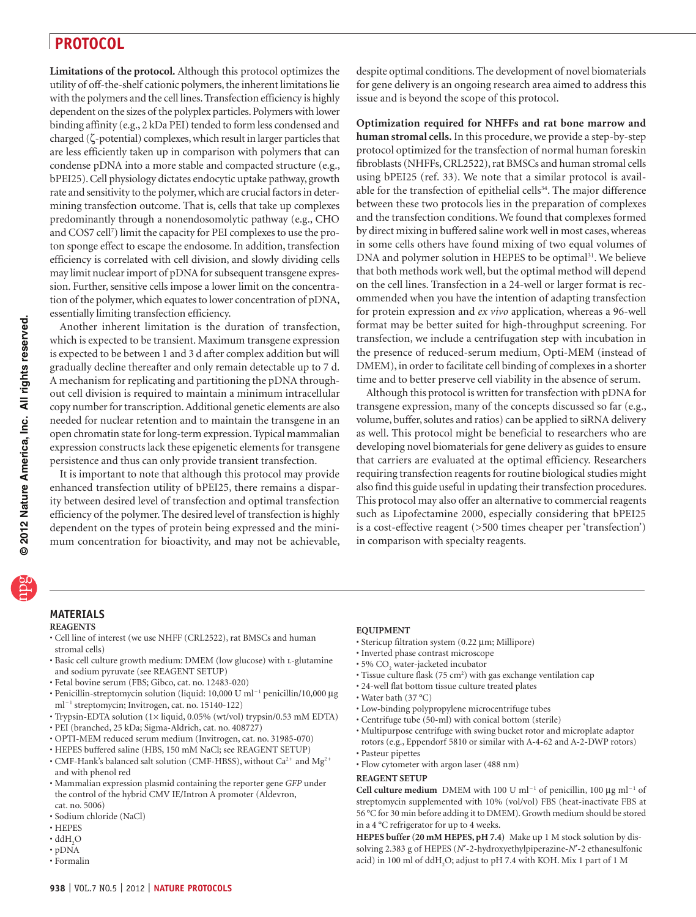**Limitations of the protocol.** Although this protocol optimizes the utility of off-the-shelf cationic polymers, the inherent limitations lie with the polymers and the cell lines. Transfection efficiency is highly dependent on the sizes of the polyplex particles. Polymers with lower binding affinity (e.g., 2 kDa PEI) tended to form less condensed and charged (ζ-potential) complexes, which result in larger particles that are less efficiently taken up in comparison with polymers that can condense pDNA into a more stable and compacted structure (e.g., bPEI25). Cell physiology dictates endocytic uptake pathway, growth rate and sensitivity to the polymer, which are crucial factors in determining transfection outcome. That is, cells that take up complexes predominantly through a nonendosomolytic pathway (e.g., CHO and COS7 cell[7](#page-10-15) ) limit the capacity for PEI complexes to use the proton sponge effect to escape the endosome. In addition, transfection efficiency is correlated with cell division, and slowly dividing cells may limit nuclear import of pDNA for subsequent transgene expression. Further, sensitive cells impose a lower limit on the concentration of the polymer, which equates to lower concentration of pDNA, essentially limiting transfection efficiency.

Another inherent limitation is the duration of transfection, which is expected to be transient. Maximum transgene expression is expected to be between 1 and 3 d after complex addition but will gradually decline thereafter and only remain detectable up to 7 d. A mechanism for replicating and partitioning the pDNA throughout cell division is required to maintain a minimum intracellular copy number for transcription. Additional genetic elements are also needed for nuclear retention and to maintain the transgene in an open chromatin state for long-term expression. Typical mammalian expression constructs lack these epigenetic elements for transgene persistence and thus can only provide transient transfection.

It is important to note that although this protocol may provide enhanced transfection utility of bPEI25, there remains a disparity between desired level of transfection and optimal transfection efficiency of the polymer. The desired level of transfection is highly dependent on the types of protein being expressed and the minimum concentration for bioactivity, and may not be achievable, despite optimal conditions. The development of novel biomaterials for gene delivery is an ongoing research area aimed to address this issue and is beyond the scope of this protocol.

**Optimization required for NHFFs and rat bone marrow and human stromal cells.** In this procedure, we provide a step-by-step protocol optimized for the transfection of normal human foreskin fibroblasts (NHFFs, CRL2522), rat BMSCs and human stromal cells using bPEI25 (ref. 33). We note that a similar protocol is avail-able for the transfection of epithelial cells<sup>[34](#page-10-16)</sup>. The major difference between these two protocols lies in the preparation of complexes and the transfection conditions. We found that complexes formed by direct mixing in buffered saline work well in most cases, whereas in some cells others have found mixing of two equal volumes of DNA and polymer solution in HEPES to be optimal<sup>[31](#page-10-17)</sup>. We believe that both methods work well, but the optimal method will depend on the cell lines. Transfection in a 24-well or larger format is recommended when you have the intention of adapting transfection for protein expression and *ex vivo* application, whereas a 96-well format may be better suited for high-throughput screening. For transfection, we include a centrifugation step with incubation in the presence of reduced-serum medium, Opti-MEM (instead of DMEM), in order to facilitate cell binding of complexes in a shorter time and to better preserve cell viability in the absence of serum.

Although this protocol is written for transfection with pDNA for transgene expression, many of the concepts discussed so far (e.g., volume, buffer, solutes and ratios) can be applied to siRNA delivery as well. This protocol might be beneficial to researchers who are developing novel biomaterials for gene delivery as guides to ensure that carriers are evaluated at the optimal efficiency. Researchers requiring transfection reagents for routine biological studies might also find this guide useful in updating their transfection procedures. This protocol may also offer an alternative to commercial reagents such as Lipofectamine 2000, especially considering that bPEI25 is a cost-effective reagent (>500 times cheaper per 'transfection') in comparison with specialty reagents.

### **MATERIALS**

### **REAGENTS**

- Cell line of interest (we use NHFF (CRL2522), rat BMSCs and human stromal cells)
- Basic cell culture growth medium: DMEM (low glucose) with L-glutamine and sodium pyruvate (see REAGENT SETUP)
- Fetal bovine serum (FBS; Gibco, cat. no. 12483-020) •
- Penicillin-streptomycin solution (liquid: 10,000 U ml<sup>-1</sup> penicillin/10,000 μg ml−1 streptomycin; Invitrogen, cat. no. 15140-122)
- Trypsin-EDTA solution (1× liquid, 0.05% (wt/vol) trypsin/0.53 mM EDTA)
- PEI (branched, 25 kDa; Sigma-Aldrich, cat. no. 408727) •
- OPTI-MEM reduced serum medium (Invitrogen, cat. no. 31985-070) •
- HEPES buffered saline (HBS, 150 mM NaCl; see REAGENT SETUP) •
- CMF-Hank's balanced salt solution (CMF-HBSS), without  $Ca^{2+}$  and  $Mg^{2+}$ and with phenol red
- Mammalian expression plasmid containing the reporter gene *GFP* under the control of the hybrid CMV IE/Intron A promoter (Aldevron, cat. no. 5006)
- Sodium chloride (NaCl)
- HEPES •
- $\cdot$  ddH<sub>2</sub>O
- pDNA •
- Formalin •

#### **EQUIPMENT**

- Stericup filtration system (0.22 μm; Millipore)
- · Inverted phase contrast microscope
- 5%  $\mathrm{CO}_\mathrm{_{2}}$  water-jacketed incubator
- Tissue culture flask (75 cm<sup>2</sup>) with gas exchange ventilation cap
- 24-well flat bottom tissue culture treated plates •
- Water bath (37 °C)
- Low-binding polypropylene microcentrifuge tubes •
- Centrifuge tube (50-ml) with conical bottom (sterile) •
- Multipurpose centrifuge with swing bucket rotor and microplate adaptor rotors (e.g., Eppendorf 5810 or similar with A-4-62 and A-2-DWP rotors)
- Pasteur pipettes •
- Flow cytometer with argon laser (488 nm) •

#### **REAGENT SETUP**

Cell culture medium DMEM with 100 U ml<sup>-1</sup> of penicillin, 100 μg ml<sup>-1</sup> of streptomycin supplemented with 10% (vol/vol) FBS (heat-inactivate FBS at 56 °C for 30 min before adding it to DMEM). Growth medium should be stored in a 4 °C refrigerator for up to 4 weeks.

**HEPES buffer (20 mM HEPES, pH 7.4)** Make up 1 M stock solution by dissolving 2.383 g of HEPES (*N*′-2-hydroxyethylpiperazine-*N*′-2 ethanesulfonic acid) in 100 ml of ddH<sub>2</sub>O; adjust to pH 7.4 with KOH. Mix 1 part of 1 M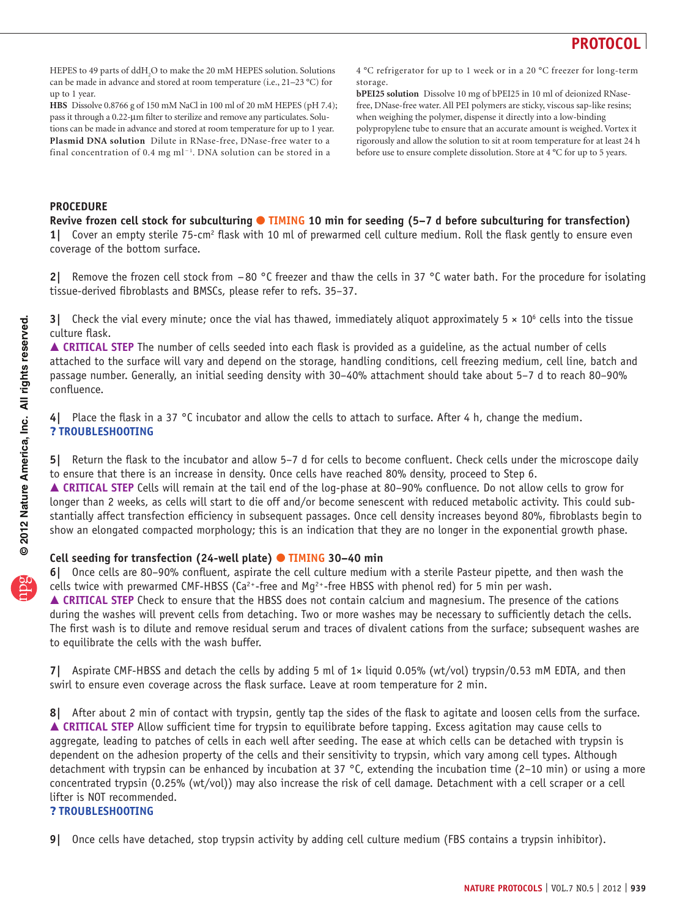

HEPES to 49 parts of ddH<sub>2</sub>O to make the 20 mM HEPES solution. Solutions can be made in advance and stored at room temperature (i.e., 21–23 °C) for up to 1 year.

**HBS** Dissolve 0.8766 g of 150 mM NaCl in 100 ml of 20 mM HEPES (pH 7.4); pass it through a 0.22-µm filter to sterilize and remove any particulates. Solutions can be made in advance and stored at room temperature for up to 1 year. **Plasmid DNA solution** Dilute in RNase-free, DNase-free water to a

final concentration of 0.4 mg ml<sup>-1</sup>. DNA solution can be stored in a

4 °C refrigerator for up to 1 week or in a 20 °C freezer for long-term storage.

**bPEI25 solution** Dissolve 10 mg of bPEI25 in 10 ml of deionized RNasefree, DNase-free water. All PEI polymers are sticky, viscous sap-like resins; when weighing the polymer, dispense it directly into a low-binding polypropylene tube to ensure that an accurate amount is weighed. Vortex it rigorously and allow the solution to sit at room temperature for at least 24 h before use to ensure complete dissolution. Store at 4 °C for up to 5 years.

### **PROCEDURE**

**Revive frozen cell stock for subculturing** ● **TIMING 10 min for seeding (5–7 d before subculturing for transfection)** 1| Cover an empty sterile 75-cm<sup>2</sup> flask with 10 ml of prewarmed cell culture medium. Roll the flask gently to ensure even coverage of the bottom surface.

**2|** Remove the frozen cell stock from −80 °C freezer and thaw the cells in 37 °C water bath. For the procedure for isolating tissue-derived fibroblasts and BMSCs, please refer to refs. 35–37.

**3** Check the vial every minute; once the vial has thawed, immediately aliquot approximately  $5 \times 10^6$  cells into the tissue culture flask.

■ CRITICAL STEP The number of cells seeded into each flask is provided as a quideline, as the actual number of cells attached to the surface will vary and depend on the storage, handling conditions, cell freezing medium, cell line, batch and passage number. Generally, an initial seeding density with 30–40% attachment should take about 5–7 d to reach 80–90% confluence.

**4|** Place the flask in a 37 °C incubator and allow the cells to attach to surface. After 4 h, change the medium. ? **TROUBLESHOOTING**

**5|** Return the flask to the incubator and allow 5–7 d for cells to become confluent. Check cells under the microscope daily to ensure that there is an increase in density. Once cells have reached 80% density, proceed to Step 6. ■ CRITICAL STEP Cells will remain at the tail end of the log-phase at 80-90% confluence. Do not allow cells to grow for longer than 2 weeks, as cells will start to die off and/or become senescent with reduced metabolic activity. This could substantially affect transfection efficiency in subsequent passages. Once cell density increases beyond 80%, fibroblasts begin to show an elongated compacted morphology; this is an indication that they are no longer in the exponential growth phase.

### **Cell seeding for transfection (24-well plate)** ● **TIMING 30–40 min**

**6|** Once cells are 80–90% confluent, aspirate the cell culture medium with a sterile Pasteur pipette, and then wash the cells twice with prewarmed CMF-HBSS (Ca<sup>2+</sup>-free and Mg<sup>2+</sup>-free HBSS with phenol red) for 5 min per wash. **△ CRITICAL STEP** Check to ensure that the HBSS does not contain calcium and magnesium. The presence of the cations during the washes will prevent cells from detaching. Two or more washes may be necessary to sufficiently detach the cells. The first wash is to dilute and remove residual serum and traces of divalent cations from the surface; subsequent washes are to equilibrate the cells with the wash buffer.

**7|** Aspirate CMF-HBSS and detach the cells by adding 5 ml of 1× liquid 0.05% (wt/vol) trypsin/0.53 mM EDTA, and then swirl to ensure even coverage across the flask surface. Leave at room temperature for 2 min.

**8|** After about 2 min of contact with trypsin, gently tap the sides of the flask to agitate and loosen cells from the surface. **CRITICAL STEP** Allow sufficient time for trypsin to equilibrate before tapping. Excess agitation may cause cells to aggregate, leading to patches of cells in each well after seeding. The ease at which cells can be detached with trypsin is dependent on the adhesion property of the cells and their sensitivity to trypsin, which vary among cell types. Although detachment with trypsin can be enhanced by incubation at 37 °C, extending the incubation time (2–10 min) or using a more concentrated trypsin (0.25% (wt/vol)) may also increase the risk of cell damage. Detachment with a cell scraper or a cell lifter is NOT recommended.

### ? **TROUBLESHOOTING**

**<sup>9|</sup>** Once cells have detached, stop trypsin activity by adding cell culture medium (FBS contains a trypsin inhibitor).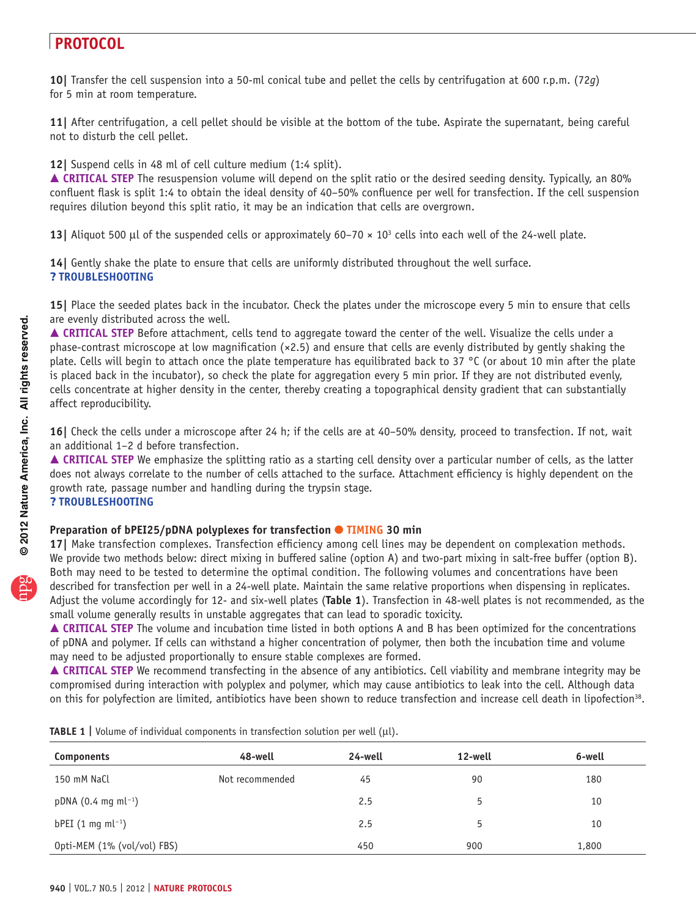**10|** Transfer the cell suspension into a 50-ml conical tube and pellet the cells by centrifugation at 600 r.p.m. (72*g*) for 5 min at room temperature.

**11|** After centrifugation, a cell pellet should be visible at the bottom of the tube. Aspirate the supernatant, being careful not to disturb the cell pellet.

**12|** Suspend cells in 48 ml of cell culture medium (1:4 split).

■ CRITICAL STEP The resuspension volume will depend on the split ratio or the desired seeding density. Typically, an 80% confluent flask is split 1:4 to obtain the ideal density of 40–50% confluence per well for transfection. If the cell suspension requires dilution beyond this split ratio, it may be an indication that cells are overgrown.

**13** Aliquot 500 µl of the suspended cells or approximately  $60-70 \times 10^3$  cells into each well of the 24-well plate.

**14|** Gently shake the plate to ensure that cells are uniformly distributed throughout the well surface. ? **TROUBLESHOOTING**

**15|** Place the seeded plates back in the incubator. Check the plates under the microscope every 5 min to ensure that cells are evenly distributed across the well.

 **CRITICAL STEP** Before attachment, cells tend to aggregate toward the center of the well. Visualize the cells under a phase-contrast microscope at low magnification  $(x2.5)$  and ensure that cells are evenly distributed by gently shaking the plate. Cells will begin to attach once the plate temperature has equilibrated back to 37 °C (or about 10 min after the plate is placed back in the incubator), so check the plate for aggregation every 5 min prior. If they are not distributed evenly, cells concentrate at higher density in the center, thereby creating a topographical density gradient that can substantially affect reproducibility.

**16|** Check the cells under a microscope after 24 h; if the cells are at 40–50% density, proceed to transfection. If not, wait an additional 1–2 d before transfection.

 **CRITICAL STEP** We emphasize the splitting ratio as a starting cell density over a particular number of cells, as the latter does not always correlate to the number of cells attached to the surface. Attachment efficiency is highly dependent on the growth rate, passage number and handling during the trypsin stage. ? **TROUBLESHOOTING**

### **Preparation of bPEI25/pDNA polyplexes for transfection ● TIMING 30 min**

**17|** Make transfection complexes. Transfection efficiency among cell lines may be dependent on complexation methods. We provide two methods below: direct mixing in buffered saline (option A) and two-part mixing in salt-free buffer (option B). Both may need to be tested to determine the optimal condition. The following volumes and concentrations have been described for transfection per well in a 24-well plate. Maintain the same relative proportions when dispensing in replicates. Adjust the volume accordingly for 12- and six-well plates (**[Table 1](#page-5-0)**). Transfection in 48-well plates is not recommended, as the small volume generally results in unstable aggregates that can lead to sporadic toxicity.

 **CRITICAL STEP** The volume and incubation time listed in both options A and B has been optimized for the concentrations of pDNA and polymer. If cells can withstand a higher concentration of polymer, then both the incubation time and volume may need to be adjusted proportionally to ensure stable complexes are formed.

**A CRITICAL STEP** We recommend transfecting in the absence of any antibiotics. Cell viability and membrane integrity may be compromised during interaction with polyplex and polymer, which may cause antibiotics to leak into the cell. Although data on this for polyfection are limited, antibiotics have been shown to reduce transfection and increase cell death in lipofection<sup>[38](#page-10-18)</sup>.

| Components                      | 48-well         | 24-well | 12-well | 6-well |
|---------------------------------|-----------------|---------|---------|--------|
| 150 mM NaCl                     | Not recommended | 45      | 90      | 180    |
| $pDNA (0.4 mg ml-1)$            |                 | 2.5     | 5       | 10     |
| $bPEI$ (1 mg ml <sup>-1</sup> ) |                 | 2.5     | 5       | 10     |
| Opti-MEM (1% (vol/vol) FBS)     |                 | 450     | 900     | 1,800  |

<span id="page-5-0"></span>**TABLE 1** | Volume of individual components in transfection solution per well ( $\mu$ l).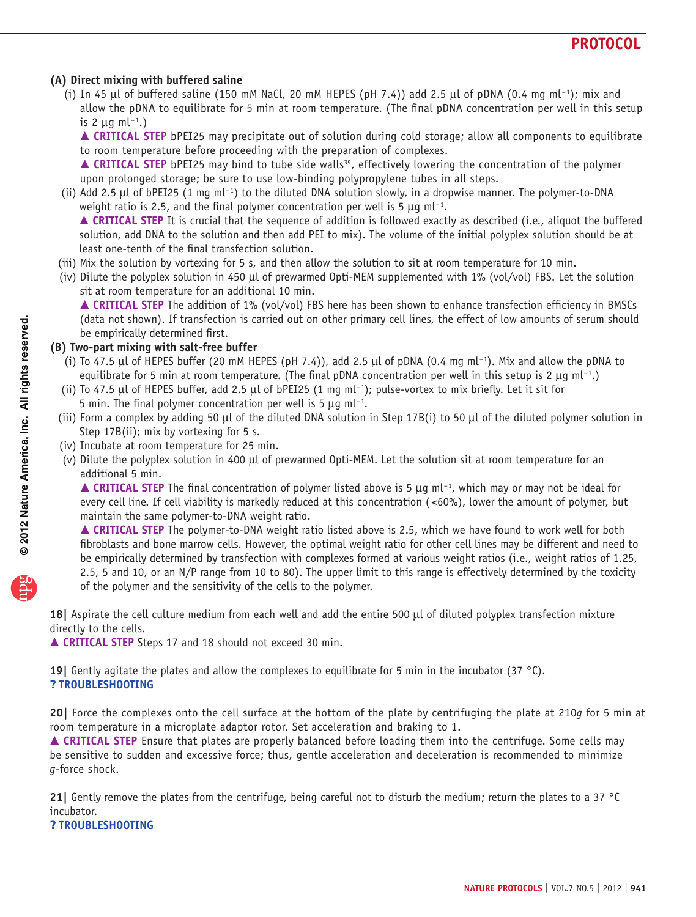### **(A) Direct mixing with buffered saline**

(i) In 45 µl of buffered saline (150 mM NaCl, 20 mM HEPES (pH 7.4)) add 2.5 µl of pDNA (0.4 mg ml<sup>-1</sup>); mix and allow the pDNA to equilibrate for 5 min at room temperature. (The final pDNA concentration per well in this setup is 2  $\mu$ g ml<sup>-1</sup>.)

 **CRITICAL STEP** bPEI25 may precipitate out of solution during cold storage; allow all components to equilibrate to room temperature before proceeding with the preparation of complexes.

▲ CRITICAL STEP bPEI25 may bind to tube side walls<sup>[39](#page-10-19)</sup>, effectively lowering the concentration of the polymer upon prolonged storage; be sure to use low-binding polypropylene tubes in all steps.

(ii) Add 2.5 µl of bPEI25 (1 mg ml<sup>-1</sup>) to the diluted DNA solution slowly, in a dropwise manner. The polymer-to-DNA weight ratio is 2.5, and the final polymer concentration per well is 5  $\mu$ g ml<sup>-1</sup>.

 **CRITICAL STEP** It is crucial that the sequence of addition is followed exactly as described (i.e., aliquot the buffered solution, add DNA to the solution and then add PEI to mix). The volume of the initial polyplex solution should be at least one-tenth of the final transfection solution.

- (iii) Mix the solution by vortexing for 5 s, and then allow the solution to sit at room temperature for 10 min.
- (iv) Dilute the polyplex solution in 450 µl of prewarmed Opti-MEM supplemented with 1% (vol/vol) FBS. Let the solution sit at room temperature for an additional 10 min.

 **CRITICAL STEP** The addition of 1% (vol/vol) FBS here has been shown to enhance transfection efficiency in BMSCs (data not shown). If transfection is carried out on other primary cell lines, the effect of low amounts of serum should be empirically determined first.

### **(B) Two-part mixing with salt-free buffer**

- (i) To 47.5 µl of HEPES buffer (20 mM HEPES (pH 7.4)), add 2.5 µl of pDNA (0.4 mg ml−1 ). Mix and allow the pDNA to equilibrate for 5 min at room temperature. (The final pDNA concentration per well in this setup is 2  $\mu$ g ml<sup>-1</sup>.)
- (ii) To 47.5 µl of HEPES buffer, add 2.5 µl of bPEI25 (1 mg ml−1 ); pulse-vortex to mix briefly. Let it sit for 5 min. The final polymer concentration per well is 5  $\mu$ g ml<sup>-1</sup>.
- (iii) Form a complex by adding 50 µl of the diluted DNA solution in Step 17B(i) to 50 µl of the diluted polymer solution in Step 17B(ii); mix by vortexing for 5 s.
- (iv) Incubate at room temperature for 25 min.
- (v) Dilute the polyplex solution in 400 µl of prewarmed Opti-MEM. Let the solution sit at room temperature for an additional 5 min.

 **CRITICAL STEP** The final concentration of polymer listed above is 5 µg ml−1 , which may or may not be ideal for every cell line. If cell viability is markedly reduced at this concentration (<60%), lower the amount of polymer, but maintain the same polymer-to-DNA weight ratio.

 **CRITICAL STEP** The polymer-to-DNA weight ratio listed above is 2.5, which we have found to work well for both fibroblasts and bone marrow cells. However, the optimal weight ratio for other cell lines may be different and need to be empirically determined by transfection with complexes formed at various weight ratios (i.e., weight ratios of 1.25, 2.5, 5 and 10, or an N/P range from 10 to 80). The upper limit to this range is effectively determined by the toxicity of the polymer and the sensitivity of the cells to the polymer.

**18|** Aspirate the cell culture medium from each well and add the entire 500 µl of diluted polyplex transfection mixture directly to the cells.

**CRITICAL STEP** Steps 17 and 18 should not exceed 30 min.

**19|** Gently agitate the plates and allow the complexes to equilibrate for 5 min in the incubator (37 °C). ? **TROUBLESHOOTING**

**20|** Force the complexes onto the cell surface at the bottom of the plate by centrifuging the plate at 210*g* for 5 min at room temperature in a microplate adaptor rotor. Set acceleration and braking to 1.

 **CRITICAL STEP** Ensure that plates are properly balanced before loading them into the centrifuge. Some cells may be sensitive to sudden and excessive force; thus, gentle acceleration and deceleration is recommended to minimize *g*-force shock.

**21|** Gently remove the plates from the centrifuge, being careful not to disturb the medium; return the plates to a 37 °C incubator.

### ? **TROUBLESHOOTING**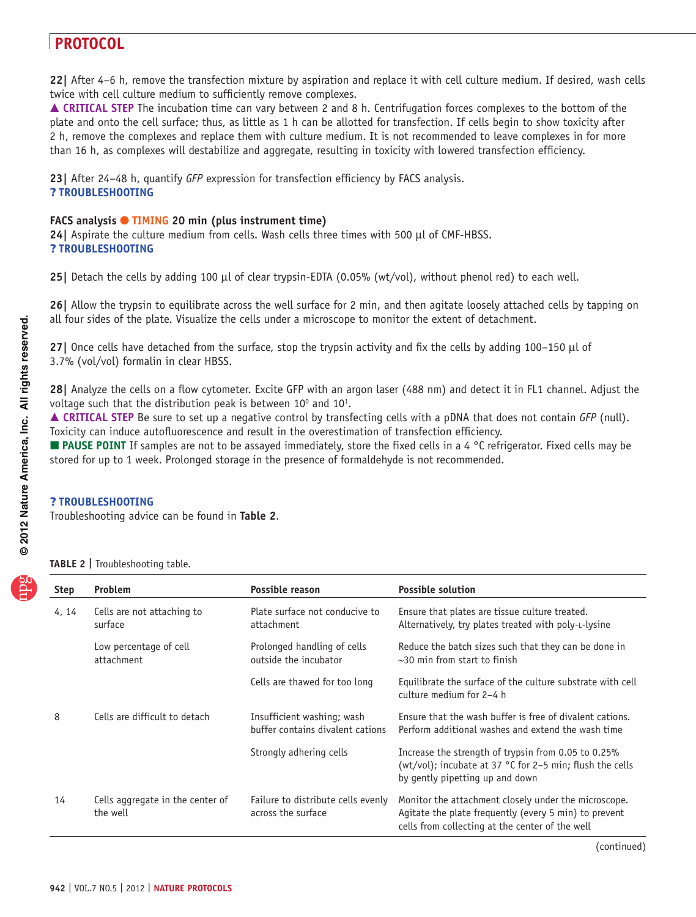**22|** After 4–6 h, remove the transfection mixture by aspiration and replace it with cell culture medium. If desired, wash cells twice with cell culture medium to sufficiently remove complexes.

■ CRITICAL STEP The incubation time can vary between 2 and 8 h. Centrifugation forces complexes to the bottom of the plate and onto the cell surface; thus, as little as 1 h can be allotted for transfection. If cells begin to show toxicity after 2 h, remove the complexes and replace them with culture medium. It is not recommended to leave complexes in for more than 16 h, as complexes will destabilize and aggregate, resulting in toxicity with lowered transfection efficiency.

**23|** After 24–48 h, quantify *GFP* expression for transfection efficiency by FACS analysis. ? **TROUBLESHOOTING**

### **FACS analysis ● TIMING 20 min (plus instrument time)**

**24|** Aspirate the culture medium from cells. Wash cells three times with 500 µl of CMF-HBSS. ? **TROUBLESHOOTING**

**25|** Detach the cells by adding 100 µl of clear trypsin-EDTA (0.05% (wt/vol), without phenol red) to each well.

**26|** Allow the trypsin to equilibrate across the well surface for 2 min, and then agitate loosely attached cells by tapping on all four sides of the plate. Visualize the cells under a microscope to monitor the extent of detachment.

**27|** Once cells have detached from the surface, stop the trypsin activity and fix the cells by adding 100–150 µl of 3.7% (vol/vol) formalin in clear HBSS.

**28|** Analyze the cells on a flow cytometer. Excite GFP with an argon laser (488 nm) and detect it in FL1 channel. Adjust the voltage such that the distribution peak is between  $10^{\circ}$  and  $10^{\circ}$ .

 **CRITICAL STEP** Be sure to set up a negative control by transfecting cells with a pDNA that does not contain *GFP* (null). Toxicity can induce autofluorescence and result in the overestimation of transfection efficiency.

**PAUSE POINT** If samples are not to be assayed immediately, store the fixed cells in a 4 °C refrigerator. Fixed cells may be stored for up to 1 week. Prolonged storage in the presence of formaldehyde is not recommended.

### ? **TROUBLESHOOTING**

Troubleshooting advice can be found in **[Table 2](#page-7-0)**.

<span id="page-7-0"></span>

| TABLE 2   Troubleshooting table. |  |
|----------------------------------|--|
|----------------------------------|--|

| Step  | <b>Problem</b>                               | Possible reason                                                | <b>Possible solution</b>                                                                                                                                         |
|-------|----------------------------------------------|----------------------------------------------------------------|------------------------------------------------------------------------------------------------------------------------------------------------------------------|
| 4, 14 | Cells are not attaching to<br>surface        | Plate surface not conducive to<br>attachment                   | Ensure that plates are tissue culture treated.<br>Alternatively, try plates treated with poly-L-lysine                                                           |
|       | Low percentage of cell<br>attachment         | Prolonged handling of cells<br>outside the incubator           | Reduce the batch sizes such that they can be done in<br>$\sim$ 30 min from start to finish                                                                       |
|       |                                              | Cells are thawed for too long                                  | Equilibrate the surface of the culture substrate with cell<br>culture medium for 2-4 h                                                                           |
| 8     | Cells are difficult to detach                | Insufficient washing; wash<br>buffer contains divalent cations | Ensure that the wash buffer is free of divalent cations.<br>Perform additional washes and extend the wash time                                                   |
|       |                                              | Strongly adhering cells                                        | Increase the strength of trypsin from 0.05 to 0.25%<br>(wt/vol); incubate at 37 °C for 2-5 min; flush the cells<br>by gently pipetting up and down               |
| 14    | Cells aggregate in the center of<br>the well | Failure to distribute cells evenly<br>across the surface       | Monitor the attachment closely under the microscope.<br>Agitate the plate frequently (every 5 min) to prevent<br>cells from collecting at the center of the well |

(continued)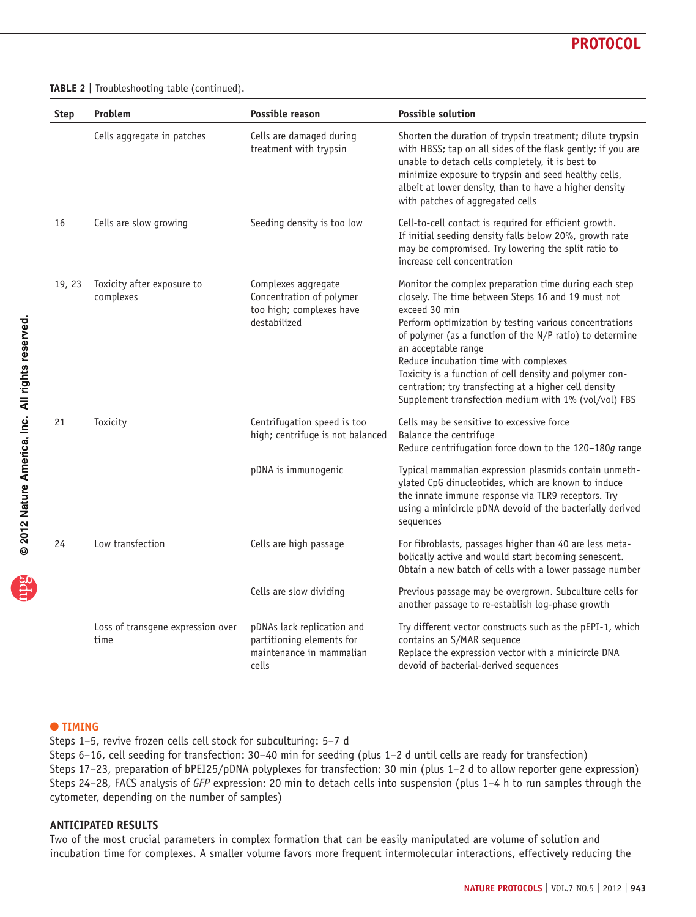

**Table 2 |** Troubleshooting table (continued).

| Step   | Problem                                   | Possible reason                                                                              | <b>Possible solution</b>                                                                                                                                                                                                                                                                                                                                                                                                                                                                       |
|--------|-------------------------------------------|----------------------------------------------------------------------------------------------|------------------------------------------------------------------------------------------------------------------------------------------------------------------------------------------------------------------------------------------------------------------------------------------------------------------------------------------------------------------------------------------------------------------------------------------------------------------------------------------------|
|        | Cells aggregate in patches                | Cells are damaged during<br>treatment with trypsin                                           | Shorten the duration of trypsin treatment; dilute trypsin<br>with HBSS; tap on all sides of the flask gently; if you are<br>unable to detach cells completely, it is best to<br>minimize exposure to trypsin and seed healthy cells,<br>albeit at lower density, than to have a higher density<br>with patches of aggregated cells                                                                                                                                                             |
| 16     | Cells are slow growing                    | Seeding density is too low                                                                   | Cell-to-cell contact is required for efficient growth.<br>If initial seeding density falls below 20%, growth rate<br>may be compromised. Try lowering the split ratio to<br>increase cell concentration                                                                                                                                                                                                                                                                                        |
| 19, 23 | Toxicity after exposure to<br>complexes   | Complexes aggregate<br>Concentration of polymer<br>too high; complexes have<br>destabilized  | Monitor the complex preparation time during each step<br>closely. The time between Steps 16 and 19 must not<br>exceed 30 min<br>Perform optimization by testing various concentrations<br>of polymer (as a function of the N/P ratio) to determine<br>an acceptable range<br>Reduce incubation time with complexes<br>Toxicity is a function of cell density and polymer con-<br>centration; try transfecting at a higher cell density<br>Supplement transfection medium with 1% (vol/vol) FBS |
| 21     | Toxicity                                  | Centrifugation speed is too<br>high; centrifuge is not balanced                              | Cells may be sensitive to excessive force<br>Balance the centrifuge<br>Reduce centrifugation force down to the 120-180g range                                                                                                                                                                                                                                                                                                                                                                  |
|        |                                           | pDNA is immunogenic                                                                          | Typical mammalian expression plasmids contain unmeth-<br>ylated CpG dinucleotides, which are known to induce<br>the innate immune response via TLR9 receptors. Try<br>using a minicircle pDNA devoid of the bacterially derived<br>sequences                                                                                                                                                                                                                                                   |
| 24     | Low transfection                          | Cells are high passage                                                                       | For fibroblasts, passages higher than 40 are less meta-<br>bolically active and would start becoming senescent.<br>Obtain a new batch of cells with a lower passage number                                                                                                                                                                                                                                                                                                                     |
|        |                                           | Cells are slow dividing                                                                      | Previous passage may be overgrown. Subculture cells for<br>another passage to re-establish log-phase growth                                                                                                                                                                                                                                                                                                                                                                                    |
|        | Loss of transgene expression over<br>time | pDNAs lack replication and<br>partitioning elements for<br>maintenance in mammalian<br>cells | Try different vector constructs such as the pEPI-1, which<br>contains an S/MAR sequence<br>Replace the expression vector with a minicircle DNA<br>devoid of bacterial-derived sequences                                                                                                                                                                                                                                                                                                        |

### ● **TIMING**

Steps 1–5, revive frozen cells cell stock for subculturing: 5–7 d

Steps 6–16, cell seeding for transfection: 30–40 min for seeding (plus 1–2 d until cells are ready for transfection) Steps 17–23, preparation of bPEI25/pDNA polyplexes for transfection: 30 min (plus 1–2 d to allow reporter gene expression) Steps 24–28, FACS analysis of *GFP* expression: 20 min to detach cells into suspension (plus 1–4 h to run samples through the cytometer, depending on the number of samples)

### **ANTICIPATED RESULTS**

Two of the most crucial parameters in complex formation that can be easily manipulated are volume of solution and incubation time for complexes. A smaller volume favors more frequent intermolecular interactions, effectively reducing the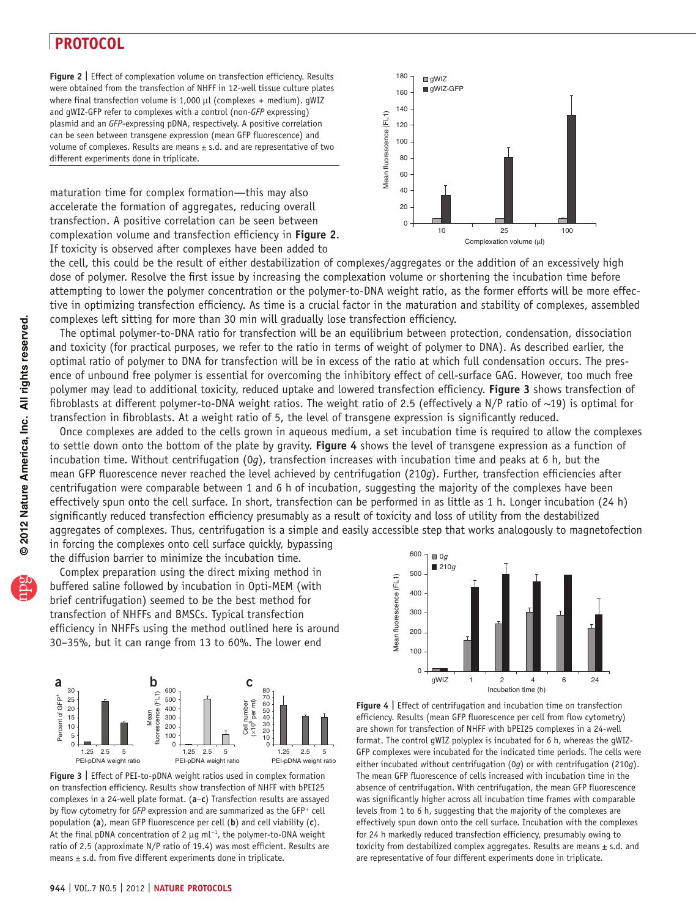<span id="page-9-0"></span>**Figure 2 |** Effect of complexation volume on transfection efficiency. Results were obtained from the transfection of NHFF in 12-well tissue culture plates where final transfection volume is  $1,000 \mu l$  (complexes + medium). gWIZ and gWIZ-GFP refer to complexes with a control (non-*GFP* expressing) plasmid and an *GFP*-expressing pDNA, respectively. A positive correlation can be seen between transgene expression (mean GFP fluorescence) and volume of complexes. Results are means  $\pm$  s.d. and are representative of two different experiments done in triplicate.

maturation time for complex formation—this may also accelerate the formation of aggregates, reducing overall transfection. A positive correlation can be seen between complexation volume and transfection efficiency in **[Figure 2](#page-9-0)**. If toxicity is observed after complexes have been added to



the cell, this could be the result of either destabilization of complexes/aggregates or the addition of an excessively high dose of polymer. Resolve the first issue by increasing the complexation volume or shortening the incubation time before attempting to lower the polymer concentration or the polymer-to-DNA weight ratio, as the former efforts will be more effective in optimizing transfection efficiency. As time is a crucial factor in the maturation and stability of complexes, assembled complexes left sitting for more than 30 min will gradually lose transfection efficiency.

The optimal polymer-to-DNA ratio for transfection will be an equilibrium between protection, condensation, dissociation and toxicity (for practical purposes, we refer to the ratio in terms of weight of polymer to DNA). As described earlier, the optimal ratio of polymer to DNA for transfection will be in excess of the ratio at which full condensation occurs. The presence of unbound free polymer is essential for overcoming the inhibitory effect of cell-surface GAG. However, too much free polymer may lead to additional toxicity, reduced uptake and lowered transfection efficiency. **[Figure 3](#page-9-1)** shows transfection of fibroblasts at different polymer-to-DNA weight ratios. The weight ratio of 2.5 (effectively a N/P ratio of ~19) is optimal for transfection in fibroblasts. At a weight ratio of 5, the level of transgene expression is significantly reduced.

Once complexes are added to the cells grown in aqueous medium, a set incubation time is required to allow the complexes to settle down onto the bottom of the plate by gravity. **[Figure 4](#page-9-2)** shows the level of transgene expression as a function of incubation time. Without centrifugation (0*g*), transfection increases with incubation time and peaks at 6 h, but the mean GFP fluorescence never reached the level achieved by centrifugation (210*g*). Further, transfection efficiencies after centrifugation were comparable between 1 and 6 h of incubation, suggesting the majority of the complexes have been effectively spun onto the cell surface. In short, transfection can be performed in as little as 1 h. Longer incubation (24 h) significantly reduced transfection efficiency presumably as a result of toxicity and loss of utility from the destabilized aggregates of complexes. Thus, centrifugation is a simple and easily accessible step that works analogously to magnetofection in forcing the complexes onto cell surface quickly, bypassing

the diffusion barrier to minimize the incubation time.

Complex preparation using the direct mixing method in buffered saline followed by incubation in Opti-MEM (with brief centrifugation) seemed to be the best method for transfection of NHFFs and BMSCs. Typical transfection efficiency in NHFFs using the method outlined here is around 30–35%, but it can range from 13 to 60%. The lower end





<span id="page-9-1"></span>**Figure 3 |** Effect of PEI-to-pDNA weight ratios used in complex formation on transfection efficiency. Results show transfection of NHFF with bPEI25 complexes in a 24-well plate format. (**a**–**c**) Transfection results are assayed by flow cytometry for *GFP* expression and are summarized as the GFP<sup>+</sup> cell population (**a**), mean GFP fluorescence per cell (**b**) and cell viability (**c**). At the final pDNA concentration of 2 μg ml<sup>-1</sup>, the polymer-to-DNA weight ratio of 2.5 (approximate N/P ratio of 19.4) was most efficient. Results are means  $\pm$  s.d. from five different experiments done in triplicate.

<span id="page-9-2"></span>**Figure 4 |** Effect of centrifugation and incubation time on transfection efficiency. Results (mean GFP fluorescence per cell from flow cytometry) are shown for transfection of NHFF with bPEI25 complexes in a 24-well format. The control gWIZ polyplex is incubated for 6 h, whereas the gWIZ-GFP complexes were incubated for the indicated time periods. The cells were either incubated without centrifugation (0*g*) or with centrifugation (210*g*). The mean GFP fluorescence of cells increased with incubation time in the absence of centrifugation. With centrifugation, the mean GFP fluorescence was significantly higher across all incubation time frames with comparable levels from 1 to 6 h, suggesting that the majority of the complexes are effectively spun down onto the cell surface. Incubation with the complexes for 24 h markedly reduced transfection efficiency, presumably owing to toxicity from destabilized complex aggregates. Results are means  $\pm$  s.d. and are representative of four different experiments done in triplicate.